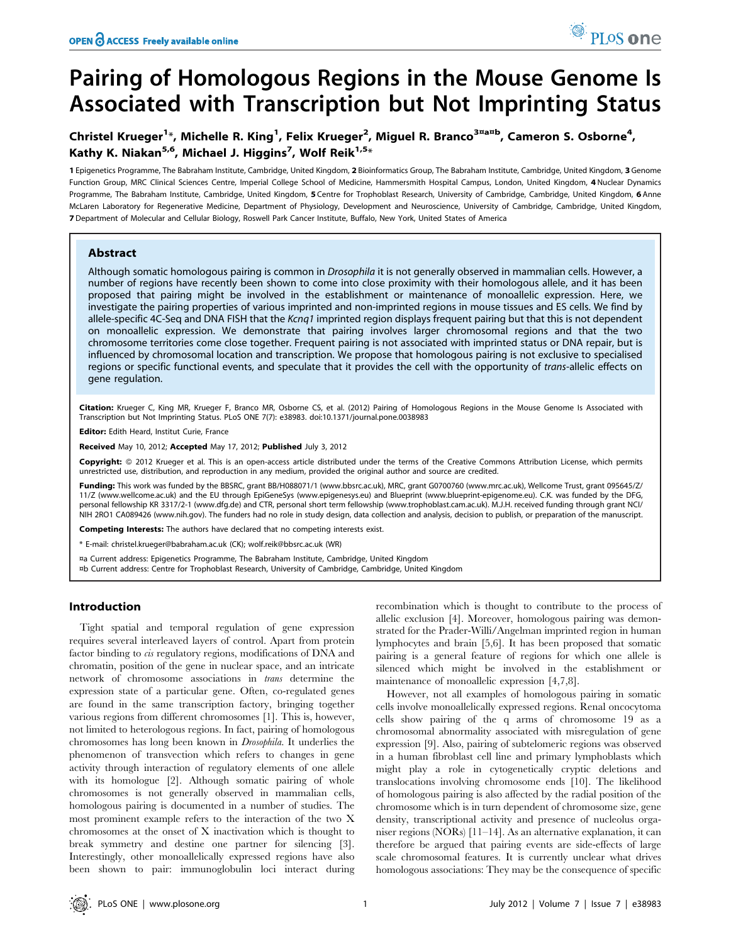# Pairing of Homologous Regions in the Mouse Genome Is Associated with Transcription but Not Imprinting Status

# Christel Krueger<sup>1\*</sup>, Michelle R. King<sup>1</sup>, Felix Krueger<sup>2</sup>, Miguel R. Branco<sup>3¤a¤b</sup>, Cameron S. Osborne<sup>4</sup>, Kathy K. Niakan<sup>5,6</sup>, Michael J. Higgins<sup>7</sup>, Wolf Reik<sup>1,5</sup>\*

1 Epigenetics Programme, The Babraham Institute, Cambridge, United Kingdom, 2 Bioinformatics Group, The Babraham Institute, Cambridge, United Kingdom, 3 Genome Function Group, MRC Clinical Sciences Centre, Imperial College School of Medicine, Hammersmith Hospital Campus, London, United Kingdom, 4 Nuclear Dynamics Programme, The Babraham Institute, Cambridge, United Kingdom, 5 Centre for Trophoblast Research, University of Cambridge, Cambridge, United Kingdom, 6 Anne McLaren Laboratory for Regenerative Medicine, Department of Physiology, Development and Neuroscience, University of Cambridge, Cambridge, United Kingdom, 7 Department of Molecular and Cellular Biology, Roswell Park Cancer Institute, Buffalo, New York, United States of America

#### Abstract

Although somatic homologous pairing is common in *Drosophila* it is not generally observed in mammalian cells. However, a number of regions have recently been shown to come into close proximity with their homologous allele, and it has been proposed that pairing might be involved in the establishment or maintenance of monoallelic expression. Here, we investigate the pairing properties of various imprinted and non-imprinted regions in mouse tissues and ES cells. We find by allele-specific 4C-Seq and DNA FISH that the Kcnq1 imprinted region displays frequent pairing but that this is not dependent on monoallelic expression. We demonstrate that pairing involves larger chromosomal regions and that the two chromosome territories come close together. Frequent pairing is not associated with imprinted status or DNA repair, but is influenced by chromosomal location and transcription. We propose that homologous pairing is not exclusive to specialised regions or specific functional events, and speculate that it provides the cell with the opportunity of trans-allelic effects on gene regulation.

Citation: Krueger C, King MR, Krueger F, Branco MR, Osborne CS, et al. (2012) Pairing of Homologous Regions in the Mouse Genome Is Associated with Transcription but Not Imprinting Status. PLoS ONE 7(7): e38983. doi:10.1371/journal.pone.0038983

Editor: Edith Heard, Institut Curie, France

Received May 10, 2012; Accepted May 17, 2012; Published July 3, 2012

Copyright: © 2012 Krueger et al. This is an open-access article distributed under the terms of the Creative Commons Attribution License, which permits unrestricted use, distribution, and reproduction in any medium, provided the original author and source are credited.

Funding: This work was funded by the BBSRC, grant BB/H088071/1 (www.bbsrc.ac.uk), MRC, grant G0700760 (www.mrc.ac.uk), Wellcome Trust, grant 095645/Z/ 11/Z (www.wellcome.ac.uk) and the EU through EpiGeneSys (www.epigenesys.eu) and Blueprint (www.blueprint-epigenome.eu). C.K. was funded by the DFG, personal fellowship KR 3317/2-1 (www.dfg.de) and CTR, personal short term fellowship (www.trophoblast.cam.ac.uk). M.J.H. received funding through grant NCI/ NIH 2RO1 CA089426 (www.nih.gov). The funders had no role in study design, data collection and analysis, decision to publish, or preparation of the manuscript.

Competing Interests: The authors have declared that no competing interests exist.

\* E-mail: christel.krueger@babraham.ac.uk (CK); wolf.reik@bbsrc.ac.uk (WR)

¤a Current address: Epigenetics Programme, The Babraham Institute, Cambridge, United Kingdom

¤b Current address: Centre for Trophoblast Research, University of Cambridge, Cambridge, United Kingdom

#### Introduction

Tight spatial and temporal regulation of gene expression requires several interleaved layers of control. Apart from protein factor binding to *cis* regulatory regions, modifications of DNA and chromatin, position of the gene in nuclear space, and an intricate network of chromosome associations in trans determine the expression state of a particular gene. Often, co-regulated genes are found in the same transcription factory, bringing together various regions from different chromosomes [1]. This is, however, not limited to heterologous regions. In fact, pairing of homologous chromosomes has long been known in Drosophila. It underlies the phenomenon of transvection which refers to changes in gene activity through interaction of regulatory elements of one allele with its homologue [2]. Although somatic pairing of whole chromosomes is not generally observed in mammalian cells, homologous pairing is documented in a number of studies. The most prominent example refers to the interaction of the two X chromosomes at the onset of X inactivation which is thought to break symmetry and destine one partner for silencing [3]. Interestingly, other monoallelically expressed regions have also been shown to pair: immunoglobulin loci interact during recombination which is thought to contribute to the process of allelic exclusion [4]. Moreover, homologous pairing was demonstrated for the Prader-Willi/Angelman imprinted region in human lymphocytes and brain [5,6]. It has been proposed that somatic pairing is a general feature of regions for which one allele is silenced which might be involved in the establishment or maintenance of monoallelic expression [4,7,8].

However, not all examples of homologous pairing in somatic cells involve monoallelically expressed regions. Renal oncocytoma cells show pairing of the q arms of chromosome 19 as a chromosomal abnormality associated with misregulation of gene expression [9]. Also, pairing of subtelomeric regions was observed in a human fibroblast cell line and primary lymphoblasts which might play a role in cytogenetically cryptic deletions and translocations involving chromosome ends [10]. The likelihood of homologous pairing is also affected by the radial position of the chromosome which is in turn dependent of chromosome size, gene density, transcriptional activity and presence of nucleolus organiser regions (NORs) [11–14]. As an alternative explanation, it can therefore be argued that pairing events are side-effects of large scale chromosomal features. It is currently unclear what drives homologous associations: They may be the consequence of specific

<sup>O</sup> PLoS one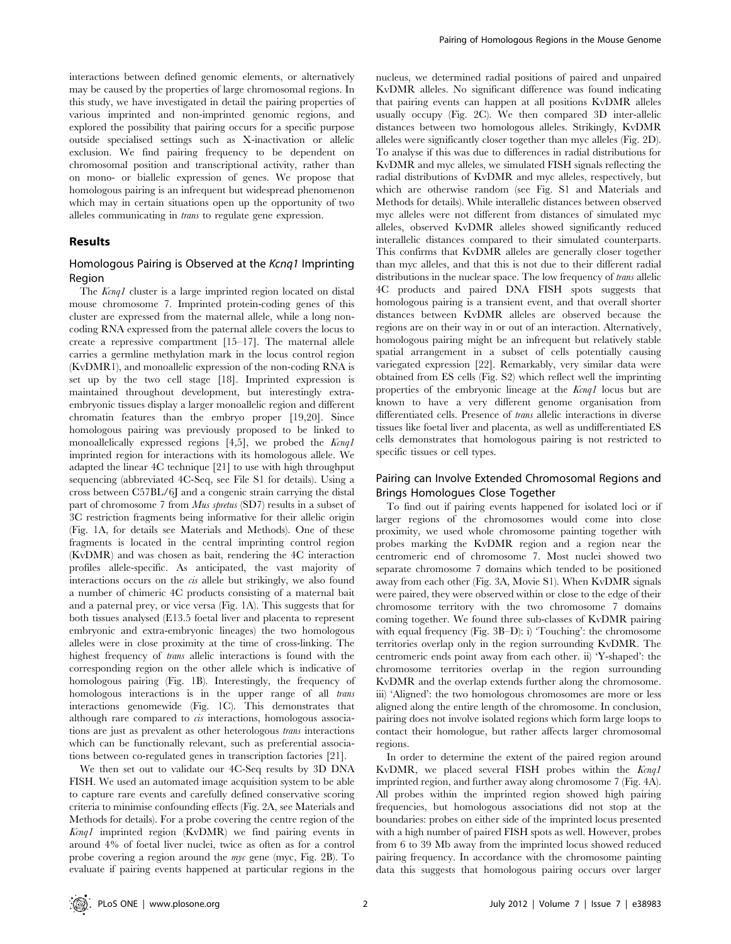interactions between defined genomic elements, or alternatively may be caused by the properties of large chromosomal regions. In this study, we have investigated in detail the pairing properties of various imprinted and non-imprinted genomic regions, and explored the possibility that pairing occurs for a specific purpose outside specialised settings such as X-inactivation or allelic exclusion. We find pairing frequency to be dependent on chromosomal position and transcriptional activity, rather than on mono- or biallelic expression of genes. We propose that homologous pairing is an infrequent but widespread phenomenon which may in certain situations open up the opportunity of two alleles communicating in trans to regulate gene expression.

#### Results

#### Homologous Pairing is Observed at the Kcnq1 Imprinting Region

The Kcnq1 cluster is a large imprinted region located on distal mouse chromosome 7. Imprinted protein-coding genes of this cluster are expressed from the maternal allele, while a long noncoding RNA expressed from the paternal allele covers the locus to create a repressive compartment [15–17]. The maternal allele carries a germline methylation mark in the locus control region (KvDMR1), and monoallelic expression of the non-coding RNA is set up by the two cell stage [18]. Imprinted expression is maintained throughout development, but interestingly extraembryonic tissues display a larger monoallelic region and different chromatin features than the embryo proper [19,20]. Since homologous pairing was previously proposed to be linked to monoallelically expressed regions  $[4,5]$ , we probed the  $Kcnq1$ imprinted region for interactions with its homologous allele. We adapted the linear 4C technique [21] to use with high throughput sequencing (abbreviated 4C-Seq, see File S1 for details). Using a cross between C57BL/6J and a congenic strain carrying the distal part of chromosome 7 from Mus spretus (SD7) results in a subset of 3C restriction fragments being informative for their allelic origin (Fig. 1A, for details see Materials and Methods). One of these fragments is located in the central imprinting control region (KvDMR) and was chosen as bait, rendering the 4C interaction profiles allele-specific. As anticipated, the vast majority of interactions occurs on the cis allele but strikingly, we also found a number of chimeric 4C products consisting of a maternal bait and a paternal prey, or vice versa (Fig. 1A). This suggests that for both tissues analysed (E13.5 foetal liver and placenta to represent embryonic and extra-embryonic lineages) the two homologous alleles were in close proximity at the time of cross-linking. The highest frequency of trans allelic interactions is found with the corresponding region on the other allele which is indicative of homologous pairing (Fig. 1B). Interestingly, the frequency of homologous interactions is in the upper range of all *trans* interactions genomewide (Fig. 1C). This demonstrates that although rare compared to *cis* interactions, homologous associations are just as prevalent as other heterologous trans interactions which can be functionally relevant, such as preferential associations between co-regulated genes in transcription factories [21].

We then set out to validate our 4C-Seq results by 3D DNA FISH. We used an automated image acquisition system to be able to capture rare events and carefully defined conservative scoring criteria to minimise confounding effects (Fig. 2A, see Materials and Methods for details). For a probe covering the centre region of the Kcnq1 imprinted region (KvDMR) we find pairing events in around 4% of foetal liver nuclei, twice as often as for a control probe covering a region around the myc gene (myc, Fig. 2B). To evaluate if pairing events happened at particular regions in the

nucleus, we determined radial positions of paired and unpaired KvDMR alleles. No significant difference was found indicating that pairing events can happen at all positions KvDMR alleles usually occupy (Fig. 2C). We then compared 3D inter-allelic distances between two homologous alleles. Strikingly, KvDMR alleles were significantly closer together than myc alleles (Fig. 2D). To analyse if this was due to differences in radial distributions for KvDMR and myc alleles, we simulated FISH signals reflecting the radial distributions of KvDMR and myc alleles, respectively, but which are otherwise random (see Fig. S1 and Materials and Methods for details). While interallelic distances between observed myc alleles were not different from distances of simulated myc alleles, observed KvDMR alleles showed significantly reduced interallelic distances compared to their simulated counterparts. This confirms that KvDMR alleles are generally closer together than myc alleles, and that this is not due to their different radial distributions in the nuclear space. The low frequency of trans allelic 4C products and paired DNA FISH spots suggests that homologous pairing is a transient event, and that overall shorter distances between KvDMR alleles are observed because the regions are on their way in or out of an interaction. Alternatively, homologous pairing might be an infrequent but relatively stable spatial arrangement in a subset of cells potentially causing variegated expression [22]. Remarkably, very similar data were obtained from ES cells (Fig. S2) which reflect well the imprinting properties of the embryonic lineage at the Kcnq1 locus but are known to have a very different genome organisation from differentiated cells. Presence of trans allelic interactions in diverse tissues like foetal liver and placenta, as well as undifferentiated ES cells demonstrates that homologous pairing is not restricted to specific tissues or cell types.

#### Pairing can Involve Extended Chromosomal Regions and Brings Homologues Close Together

To find out if pairing events happened for isolated loci or if larger regions of the chromosomes would come into close proximity, we used whole chromosome painting together with probes marking the KvDMR region and a region near the centromeric end of chromosome 7. Most nuclei showed two separate chromosome 7 domains which tended to be positioned away from each other (Fig. 3A, Movie S1). When KvDMR signals were paired, they were observed within or close to the edge of their chromosome territory with the two chromosome 7 domains coming together. We found three sub-classes of KvDMR pairing with equal frequency (Fig. 3B–D): i) 'Touching': the chromosome territories overlap only in the region surrounding KvDMR. The centromeric ends point away from each other. ii) 'Y-shaped': the chromosome territories overlap in the region surrounding KvDMR and the overlap extends further along the chromosome. iii) 'Aligned': the two homologous chromosomes are more or less aligned along the entire length of the chromosome. In conclusion, pairing does not involve isolated regions which form large loops to contact their homologue, but rather affects larger chromosomal regions.

In order to determine the extent of the paired region around KvDMR, we placed several FISH probes within the Kcnq1 imprinted region, and further away along chromosome 7 (Fig. 4A). All probes within the imprinted region showed high pairing frequencies, but homologous associations did not stop at the boundaries: probes on either side of the imprinted locus presented with a high number of paired FISH spots as well. However, probes from 6 to 39 Mb away from the imprinted locus showed reduced pairing frequency. In accordance with the chromosome painting data this suggests that homologous pairing occurs over larger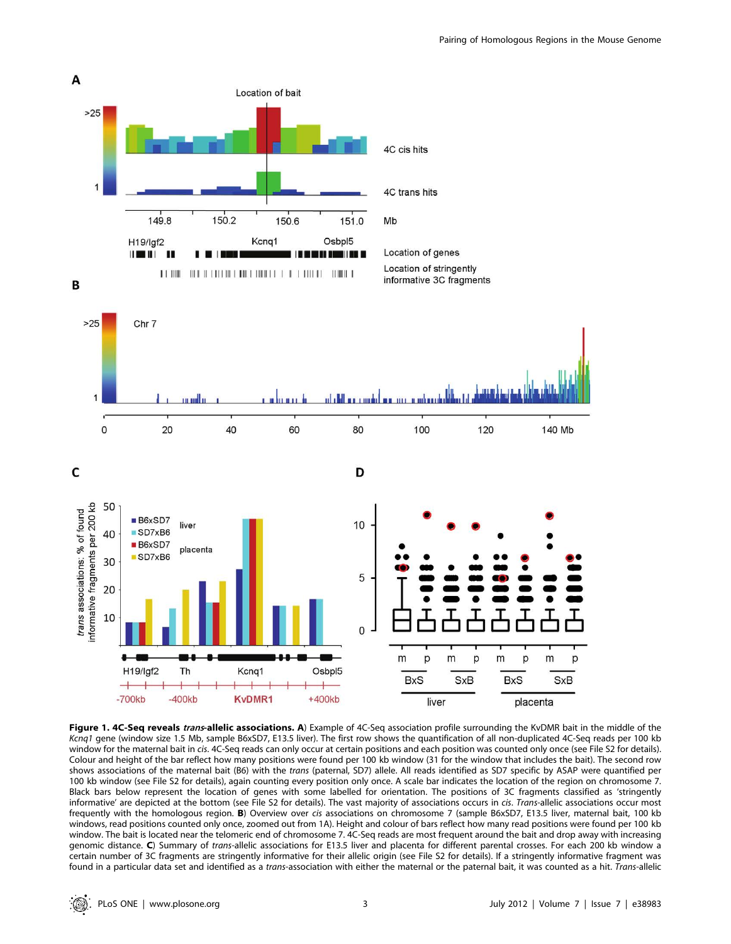

Figure 1. 4C-Seq reveals trans-allelic associations. A) Example of 4C-Seq association profile surrounding the KvDMR bait in the middle of the Kcnq1 gene (window size 1.5 Mb, sample B6xSD7, E13.5 liver). The first row shows the quantification of all non-duplicated 4C-Seq reads per 100 kb window for the maternal bait in cis. 4C-Seq reads can only occur at certain positions and each position was counted only once (see File S2 for details). Colour and height of the bar reflect how many positions were found per 100 kb window (31 for the window that includes the bait). The second row shows associations of the maternal bait (B6) with the trans (paternal, SD7) allele. All reads identified as SD7 specific by ASAP were quantified per 100 kb window (see File S2 for details), again counting every position only once. A scale bar indicates the location of the region on chromosome 7. Black bars below represent the location of genes with some labelled for orientation. The positions of 3C fragments classified as 'stringently informative' are depicted at the bottom (see File S2 for details). The vast majority of associations occurs in cis. Trans-allelic associations occur most frequently with the homologous region. B) Overview over cis associations on chromosome 7 (sample B6xSD7, E13.5 liver, maternal bait, 100 kb windows, read positions counted only once, zoomed out from 1A). Height and colour of bars reflect how many read positions were found per 100 kb window. The bait is located near the telomeric end of chromosome 7. 4C-Seq reads are most frequent around the bait and drop away with increasing genomic distance. C) Summary of trans-allelic associations for E13.5 liver and placenta for different parental crosses. For each 200 kb window a certain number of 3C fragments are stringently informative for their allelic origin (see File S2 for details). If a stringently informative fragment was found in a particular data set and identified as a trans-association with either the maternal or the paternal bait, it was counted as a hit. Trans-allelic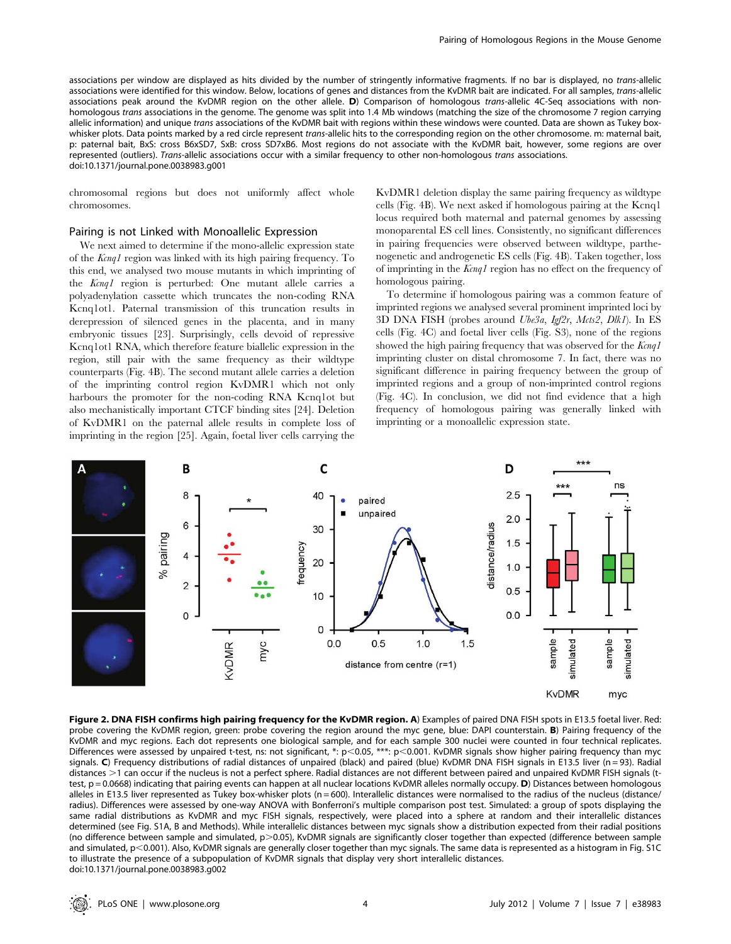associations per window are displayed as hits divided by the number of stringently informative fragments. If no bar is displayed, no trans-allelic associations were identified for this window. Below, locations of genes and distances from the KvDMR bait are indicated. For all samples, trans-allelic associations peak around the KvDMR region on the other allele. D) Comparison of homologous trans-allelic 4C-Seq associations with nonhomologous trans associations in the genome. The genome was split into 1.4 Mb windows (matching the size of the chromosome 7 region carrying allelic information) and unique trans associations of the KvDMR bait with regions within these windows were counted. Data are shown as Tukey boxwhisker plots. Data points marked by a red circle represent trans-allelic hits to the corresponding region on the other chromosome. m: maternal bait, p: paternal bait, BxS: cross B6xSD7, SxB: cross SD7xB6. Most regions do not associate with the KvDMR bait, however, some regions are over represented (outliers). Trans-allelic associations occur with a similar frequency to other non-homologous trans associations. doi:10.1371/journal.pone.0038983.g001

chromosomal regions but does not uniformly affect whole chromosomes.

#### Pairing is not Linked with Monoallelic Expression

We next aimed to determine if the mono-allelic expression state of the Kcnq1 region was linked with its high pairing frequency. To this end, we analysed two mouse mutants in which imprinting of the Kcnq1 region is perturbed: One mutant allele carries a polyadenylation cassette which truncates the non-coding RNA Kcnq1ot1. Paternal transmission of this truncation results in derepression of silenced genes in the placenta, and in many embryonic tissues [23]. Surprisingly, cells devoid of repressive Kcnq1ot1 RNA, which therefore feature biallelic expression in the region, still pair with the same frequency as their wildtype counterparts (Fig. 4B). The second mutant allele carries a deletion of the imprinting control region KvDMR1 which not only harbours the promoter for the non-coding RNA Kcnq1ot but also mechanistically important CTCF binding sites [24]. Deletion of KvDMR1 on the paternal allele results in complete loss of imprinting in the region [25]. Again, foetal liver cells carrying the

KvDMR1 deletion display the same pairing frequency as wildtype cells (Fig. 4B). We next asked if homologous pairing at the Kcnq1 locus required both maternal and paternal genomes by assessing monoparental ES cell lines. Consistently, no significant differences in pairing frequencies were observed between wildtype, parthenogenetic and androgenetic ES cells (Fig. 4B). Taken together, loss of imprinting in the Kcnq1 region has no effect on the frequency of homologous pairing.

To determine if homologous pairing was a common feature of imprinted regions we analysed several prominent imprinted loci by 3D DNA FISH (probes around Ube3a, Igf2r, Mcts2, Dlk1). In ES cells (Fig. 4C) and foetal liver cells (Fig. S3), none of the regions showed the high pairing frequency that was observed for the Kcnq1 imprinting cluster on distal chromosome 7. In fact, there was no significant difference in pairing frequency between the group of imprinted regions and a group of non-imprinted control regions (Fig. 4C). In conclusion, we did not find evidence that a high frequency of homologous pairing was generally linked with imprinting or a monoallelic expression state.



Figure 2. DNA FISH confirms high pairing frequency for the KvDMR region. A) Examples of paired DNA FISH spots in E13.5 foetal liver. Red: probe covering the KvDMR region, green: probe covering the region around the myc gene, blue: DAPI counterstain. B) Pairing frequency of the KvDMR and myc regions. Each dot represents one biological sample, and for each sample 300 nuclei were counted in four technical replicates. Differences were assessed by unpaired t-test, ns: not significant, \*:  $p<0.05$ , \*\*\*:  $p<0.001$ . KvDMR signals show higher pairing frequency than myc signals. C) Frequency distributions of radial distances of unpaired (black) and paired (blue) KvDMR DNA FISH signals in E13.5 liver (n = 93). Radial distances >1 can occur if the nucleus is not a perfect sphere. Radial distances are not different between paired and unpaired KvDMR FISH signals (ttest, p = 0.0668) indicating that pairing events can happen at all nuclear locations KvDMR alleles normally occupy. D) Distances between homologous alleles in E13.5 liver represented as Tukey box-whisker plots (n = 600). Interallelic distances were normalised to the radius of the nucleus (distance/ radius). Differences were assessed by one-way ANOVA with Bonferroni's multiple comparison post test. Simulated: a group of spots displaying the same radial distributions as KvDMR and myc FISH signals, respectively, were placed into a sphere at random and their interallelic distances determined (see Fig. S1A, B and Methods). While interallelic distances between myc signals show a distribution expected from their radial positions (no difference between sample and simulated,  $p > 0.05$ ), KvDMR signals are significantly closer together than expected (difference between sample and simulated,  $p$ <0.001). Also, KvDMR signals are generally closer together than myc signals. The same data is represented as a histogram in Fig. S1C to illustrate the presence of a subpopulation of KvDMR signals that display very short interallelic distances. doi:10.1371/journal.pone.0038983.g002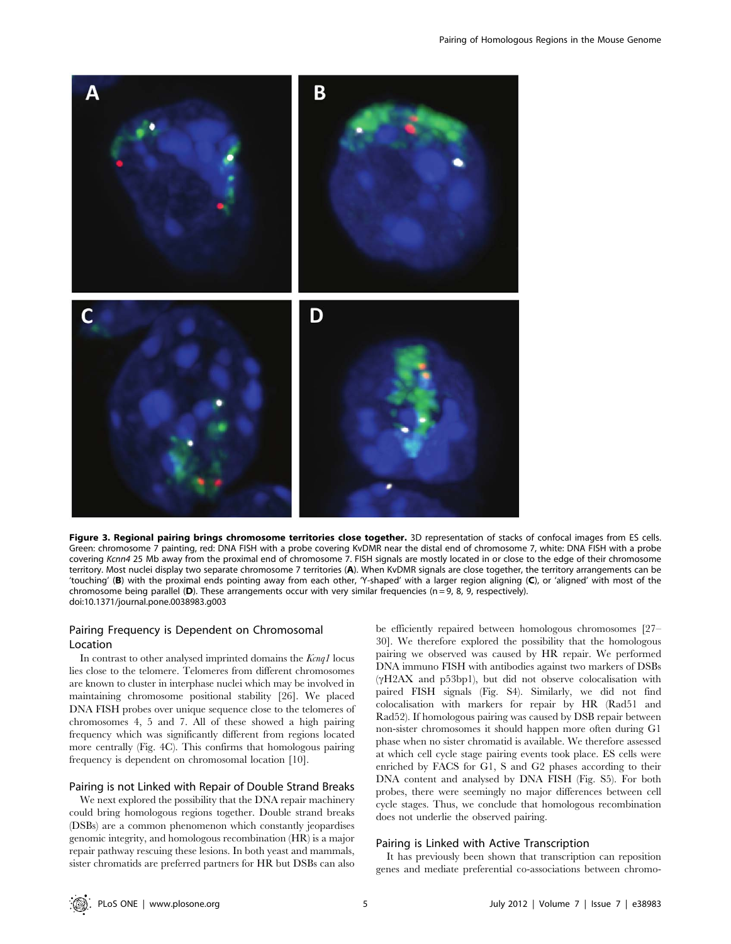

Figure 3. Regional pairing brings chromosome territories close together. 3D representation of stacks of confocal images from ES cells. Green: chromosome 7 painting, red: DNA FISH with a probe covering KvDMR near the distal end of chromosome 7, white: DNA FISH with a probe covering Kcnn4 25 Mb away from the proximal end of chromosome 7. FISH signals are mostly located in or close to the edge of their chromosome territory. Most nuclei display two separate chromosome 7 territories (A). When KvDMR signals are close together, the territory arrangements can be 'touching' (B) with the proximal ends pointing away from each other, 'Y-shaped' with a larger region aligning (C), or 'aligned' with most of the chromosome being parallel (D). These arrangements occur with very similar frequencies ( $n = 9$ , 8, 9, respectively). doi:10.1371/journal.pone.0038983.g003

## Pairing Frequency is Dependent on Chromosomal Location

In contrast to other analysed imprinted domains the  $Kcnq1$  locus lies close to the telomere. Telomeres from different chromosomes are known to cluster in interphase nuclei which may be involved in maintaining chromosome positional stability [26]. We placed DNA FISH probes over unique sequence close to the telomeres of chromosomes 4, 5 and 7. All of these showed a high pairing frequency which was significantly different from regions located more centrally (Fig. 4C). This confirms that homologous pairing frequency is dependent on chromosomal location [10].

# Pairing is not Linked with Repair of Double Strand Breaks

We next explored the possibility that the DNA repair machinery could bring homologous regions together. Double strand breaks (DSBs) are a common phenomenon which constantly jeopardises genomic integrity, and homologous recombination (HR) is a major repair pathway rescuing these lesions. In both yeast and mammals, sister chromatids are preferred partners for HR but DSBs can also

be efficiently repaired between homologous chromosomes [27– 30]. We therefore explored the possibility that the homologous pairing we observed was caused by HR repair. We performed DNA immuno FISH with antibodies against two markers of DSBs  $(\gamma H2AX$  and p53bp1), but did not observe colocalisation with paired FISH signals (Fig. S4). Similarly, we did not find colocalisation with markers for repair by HR (Rad51 and Rad52). If homologous pairing was caused by DSB repair between non-sister chromosomes it should happen more often during G1 phase when no sister chromatid is available. We therefore assessed at which cell cycle stage pairing events took place. ES cells were enriched by FACS for G1, S and G2 phases according to their DNA content and analysed by DNA FISH (Fig. S5). For both probes, there were seemingly no major differences between cell cycle stages. Thus, we conclude that homologous recombination does not underlie the observed pairing.

#### Pairing is Linked with Active Transcription

It has previously been shown that transcription can reposition genes and mediate preferential co-associations between chromo-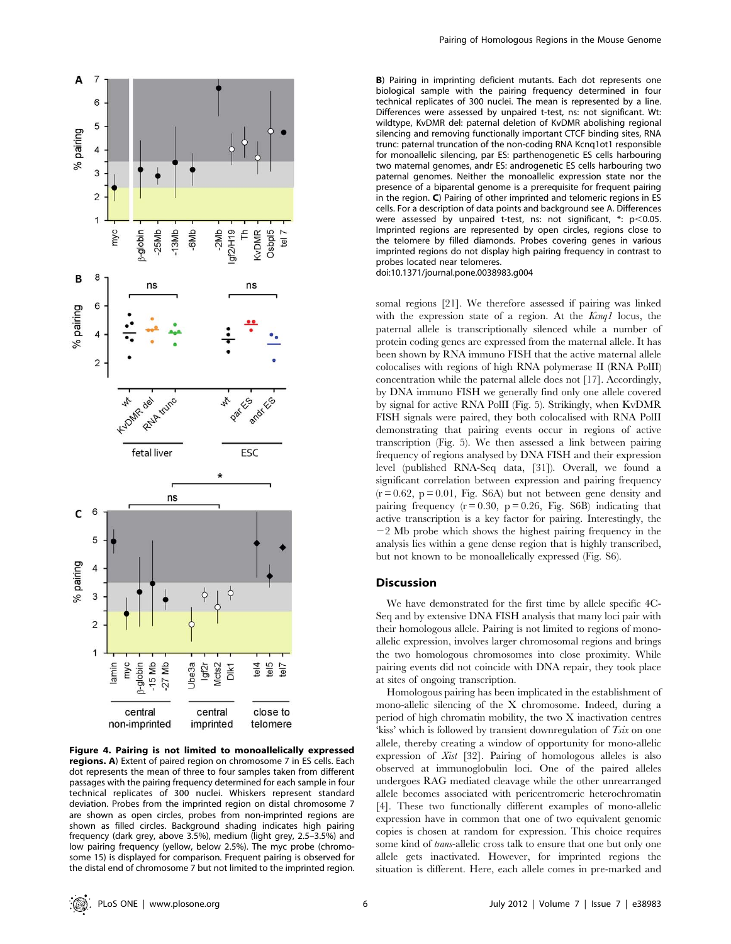

Figure 4. Pairing is not limited to monoallelically expressed regions. A) Extent of paired region on chromosome 7 in ES cells. Each dot represents the mean of three to four samples taken from different passages with the pairing frequency determined for each sample in four technical replicates of 300 nuclei. Whiskers represent standard deviation. Probes from the imprinted region on distal chromosome 7 are shown as open circles, probes from non-imprinted regions are shown as filled circles. Background shading indicates high pairing frequency (dark grey, above 3.5%), medium (light grey, 2.5–3.5%) and low pairing frequency (yellow, below 2.5%). The myc probe (chromosome 15) is displayed for comparison. Frequent pairing is observed for the distal end of chromosome 7 but not limited to the imprinted region.

B) Pairing in imprinting deficient mutants. Each dot represents one biological sample with the pairing frequency determined in four technical replicates of 300 nuclei. The mean is represented by a line. Differences were assessed by unpaired t-test, ns: not significant. Wt: wildtype, KvDMR del: paternal deletion of KvDMR abolishing regional silencing and removing functionally important CTCF binding sites, RNA trunc: paternal truncation of the non-coding RNA Kcnq1ot1 responsible for monoallelic silencing, par ES: parthenogenetic ES cells harbouring two maternal genomes, andr ES: androgenetic ES cells harbouring two paternal genomes. Neither the monoallelic expression state nor the presence of a biparental genome is a prerequisite for frequent pairing in the region. C) Pairing of other imprinted and telomeric regions in ES cells. For a description of data points and background see A. Differences were assessed by unpaired t-test, ns: not significant,  $*$ :  $p$ <0.05. Imprinted regions are represented by open circles, regions close to the telomere by filled diamonds. Probes covering genes in various imprinted regions do not display high pairing frequency in contrast to probes located near telomeres.

doi:10.1371/journal.pone.0038983.g004

somal regions [21]. We therefore assessed if pairing was linked with the expression state of a region. At the Kcnq1 locus, the paternal allele is transcriptionally silenced while a number of protein coding genes are expressed from the maternal allele. It has been shown by RNA immuno FISH that the active maternal allele colocalises with regions of high RNA polymerase II (RNA PolII) concentration while the paternal allele does not [17]. Accordingly, by DNA immuno FISH we generally find only one allele covered by signal for active RNA PolII (Fig. 5). Strikingly, when KvDMR FISH signals were paired, they both colocalised with RNA PolII demonstrating that pairing events occur in regions of active transcription (Fig. 5). We then assessed a link between pairing frequency of regions analysed by DNA FISH and their expression level (published RNA-Seq data, [31]). Overall, we found a significant correlation between expression and pairing frequency  $(r = 0.62, p = 0.01, Fig. S6A)$  but not between gene density and pairing frequency  $(r = 0.30, p = 0.26, Fig. S6B)$  indicating that active transcription is a key factor for pairing. Interestingly, the  $-2$  Mb probe which shows the highest pairing frequency in the analysis lies within a gene dense region that is highly transcribed, but not known to be monoallelically expressed (Fig. S6).

#### Discussion

We have demonstrated for the first time by allele specific 4C-Seq and by extensive DNA FISH analysis that many loci pair with their homologous allele. Pairing is not limited to regions of monoallelic expression, involves larger chromosomal regions and brings the two homologous chromosomes into close proximity. While pairing events did not coincide with DNA repair, they took place at sites of ongoing transcription.

Homologous pairing has been implicated in the establishment of mono-allelic silencing of the X chromosome. Indeed, during a period of high chromatin mobility, the two X inactivation centres 'kiss' which is followed by transient downregulation of Tsix on one allele, thereby creating a window of opportunity for mono-allelic expression of Xist [32]. Pairing of homologous alleles is also observed at immunoglobulin loci. One of the paired alleles undergoes RAG mediated cleavage while the other unrearranged allele becomes associated with pericentromeric heterochromatin [4]. These two functionally different examples of mono-allelic expression have in common that one of two equivalent genomic copies is chosen at random for expression. This choice requires some kind of trans-allelic cross talk to ensure that one but only one allele gets inactivated. However, for imprinted regions the situation is different. Here, each allele comes in pre-marked and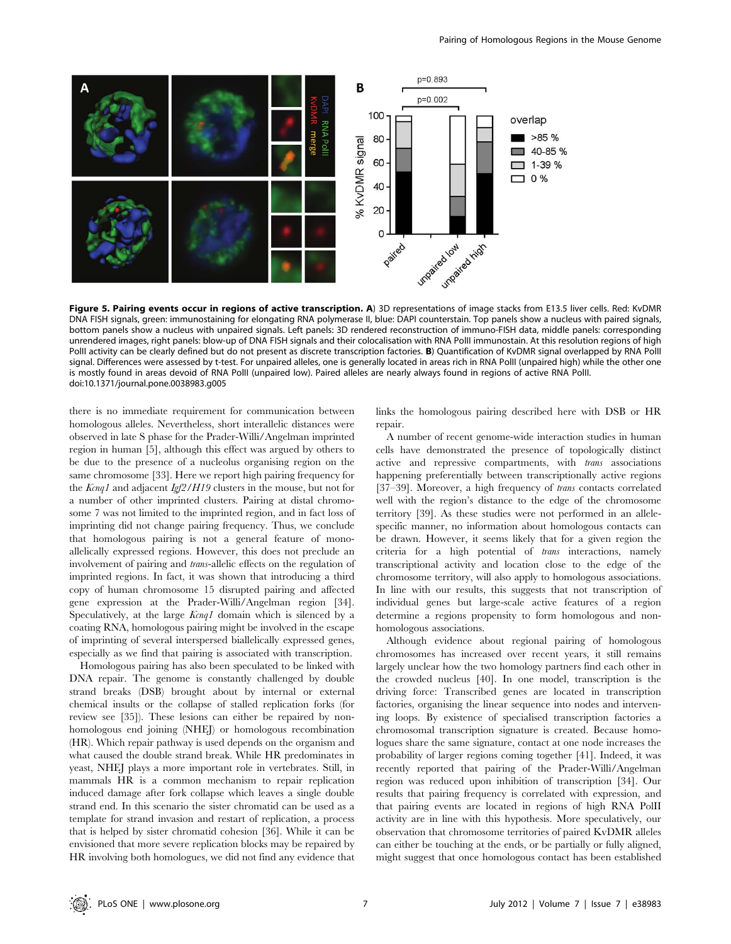

Figure 5. Pairing events occur in regions of active transcription. A) 3D representations of image stacks from E13.5 liver cells. Red: KvDMR DNA FISH signals, green: immunostaining for elongating RNA polymerase II, blue: DAPI counterstain. Top panels show a nucleus with paired signals, bottom panels show a nucleus with unpaired signals. Left panels: 3D rendered reconstruction of immuno-FISH data, middle panels: corresponding unrendered images, right panels: blow-up of DNA FISH signals and their colocalisation with RNA PolII immunostain. At this resolution regions of high PollI activity can be clearly defined but do not present as discrete transcription factories. B) Quantification of KvDMR signal overlapped by RNA PollI signal. Differences were assessed by t-test. For unpaired alleles, one is generally located in areas rich in RNA PollI (unpaired high) while the other one is mostly found in areas devoid of RNA PolII (unpaired low). Paired alleles are nearly always found in regions of active RNA PolII. doi:10.1371/journal.pone.0038983.g005

there is no immediate requirement for communication between homologous alleles. Nevertheless, short interallelic distances were observed in late S phase for the Prader-Willi/Angelman imprinted region in human [5], although this effect was argued by others to be due to the presence of a nucleolus organising region on the same chromosome [33]. Here we report high pairing frequency for the Kcnq1 and adjacent Igf2/H19 clusters in the mouse, but not for a number of other imprinted clusters. Pairing at distal chromosome 7 was not limited to the imprinted region, and in fact loss of imprinting did not change pairing frequency. Thus, we conclude that homologous pairing is not a general feature of monoallelically expressed regions. However, this does not preclude an involvement of pairing and trans-allelic effects on the regulation of imprinted regions. In fact, it was shown that introducing a third copy of human chromosome 15 disrupted pairing and affected gene expression at the Prader-Willi/Angelman region [34]. Speculatively, at the large Kcnq1 domain which is silenced by a coating RNA, homologous pairing might be involved in the escape of imprinting of several interspersed biallelically expressed genes, especially as we find that pairing is associated with transcription.

Homologous pairing has also been speculated to be linked with DNA repair. The genome is constantly challenged by double strand breaks (DSB) brought about by internal or external chemical insults or the collapse of stalled replication forks (for review see [35]). These lesions can either be repaired by nonhomologous end joining (NHEJ) or homologous recombination (HR). Which repair pathway is used depends on the organism and what caused the double strand break. While HR predominates in yeast, NHEJ plays a more important role in vertebrates. Still, in mammals HR is a common mechanism to repair replication induced damage after fork collapse which leaves a single double strand end. In this scenario the sister chromatid can be used as a template for strand invasion and restart of replication, a process that is helped by sister chromatid cohesion [36]. While it can be envisioned that more severe replication blocks may be repaired by HR involving both homologues, we did not find any evidence that links the homologous pairing described here with DSB or HR repair.

A number of recent genome-wide interaction studies in human cells have demonstrated the presence of topologically distinct active and repressive compartments, with trans associations happening preferentially between transcriptionally active regions [37–39]. Moreover, a high frequency of trans contacts correlated well with the region's distance to the edge of the chromosome territory [39]. As these studies were not performed in an allelespecific manner, no information about homologous contacts can be drawn. However, it seems likely that for a given region the criteria for a high potential of trans interactions, namely transcriptional activity and location close to the edge of the chromosome territory, will also apply to homologous associations. In line with our results, this suggests that not transcription of individual genes but large-scale active features of a region determine a regions propensity to form homologous and nonhomologous associations.

Although evidence about regional pairing of homologous chromosomes has increased over recent years, it still remains largely unclear how the two homology partners find each other in the crowded nucleus [40]. In one model, transcription is the driving force: Transcribed genes are located in transcription factories, organising the linear sequence into nodes and intervening loops. By existence of specialised transcription factories a chromosomal transcription signature is created. Because homologues share the same signature, contact at one node increases the probability of larger regions coming together [41]. Indeed, it was recently reported that pairing of the Prader-Willi/Angelman region was reduced upon inhibition of transcription [34]. Our results that pairing frequency is correlated with expression, and that pairing events are located in regions of high RNA PolII activity are in line with this hypothesis. More speculatively, our observation that chromosome territories of paired KvDMR alleles can either be touching at the ends, or be partially or fully aligned, might suggest that once homologous contact has been established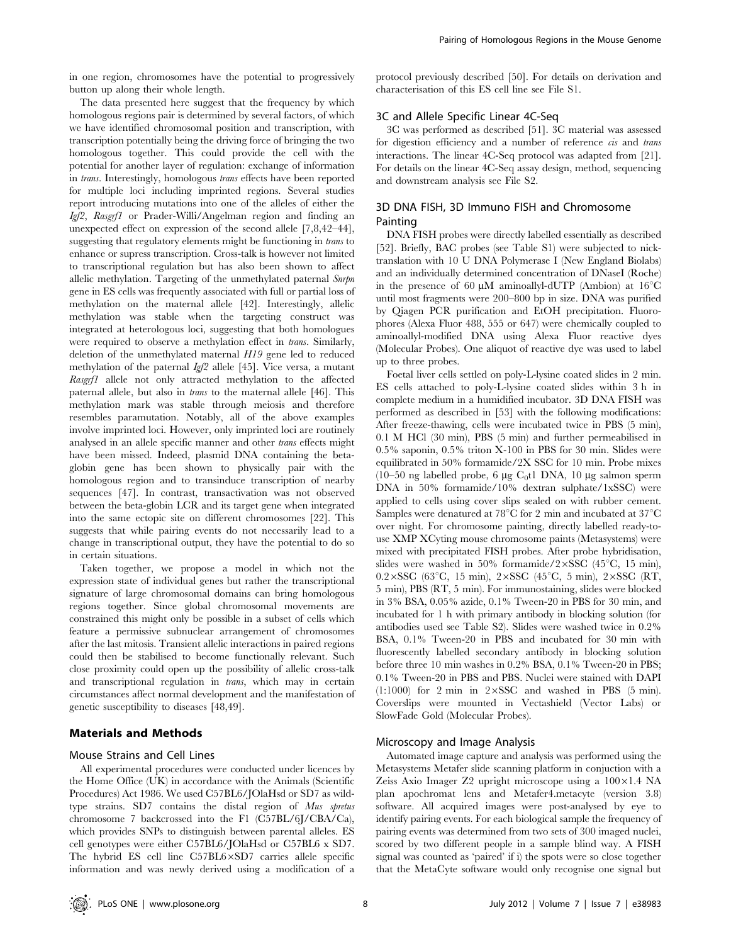The data presented here suggest that the frequency by which homologous regions pair is determined by several factors, of which we have identified chromosomal position and transcription, with transcription potentially being the driving force of bringing the two homologous together. This could provide the cell with the potential for another layer of regulation: exchange of information in trans. Interestingly, homologous trans effects have been reported for multiple loci including imprinted regions. Several studies report introducing mutations into one of the alleles of either the Igf2, Rasgrf1 or Prader-Willi/Angelman region and finding an unexpected effect on expression of the second allele [7,8,42–44], suggesting that regulatory elements might be functioning in trans to enhance or supress transcription. Cross-talk is however not limited to transcriptional regulation but has also been shown to affect allelic methylation. Targeting of the unmethylated paternal Snrpn gene in ES cells was frequently associated with full or partial loss of methylation on the maternal allele [42]. Interestingly, allelic methylation was stable when the targeting construct was integrated at heterologous loci, suggesting that both homologues were required to observe a methylation effect in *trans*. Similarly, deletion of the unmethylated maternal H19 gene led to reduced methylation of the paternal Igf2 allele [45]. Vice versa, a mutant Rasgrf1 allele not only attracted methylation to the affected paternal allele, but also in trans to the maternal allele [46]. This methylation mark was stable through meiosis and therefore resembles paramutation. Notably, all of the above examples involve imprinted loci. However, only imprinted loci are routinely analysed in an allele specific manner and other trans effects might have been missed. Indeed, plasmid DNA containing the betaglobin gene has been shown to physically pair with the homologous region and to transinduce transcription of nearby sequences [47]. In contrast, transactivation was not observed between the beta-globin LCR and its target gene when integrated into the same ectopic site on different chromosomes [22]. This suggests that while pairing events do not necessarily lead to a change in transcriptional output, they have the potential to do so in certain situations.

Taken together, we propose a model in which not the expression state of individual genes but rather the transcriptional signature of large chromosomal domains can bring homologous regions together. Since global chromosomal movements are constrained this might only be possible in a subset of cells which feature a permissive subnuclear arrangement of chromosomes after the last mitosis. Transient allelic interactions in paired regions could then be stabilised to become functionally relevant. Such close proximity could open up the possibility of allelic cross-talk and transcriptional regulation in trans, which may in certain circumstances affect normal development and the manifestation of genetic susceptibility to diseases [48,49].

#### Materials and Methods

#### Mouse Strains and Cell Lines

All experimental procedures were conducted under licences by the Home Office (UK) in accordance with the Animals (Scientific Procedures) Act 1986. We used C57BL6/JOlaHsd or SD7 as wildtype strains. SD7 contains the distal region of Mus spretus chromosome 7 backcrossed into the F1 (C57BL/6J/CBA/Ca), which provides SNPs to distinguish between parental alleles. ES cell genotypes were either C57BL6/JOlaHsd or C57BL6 x SD7. The hybrid ES cell line C57BL6×SD7 carries allele specific information and was newly derived using a modification of a

protocol previously described [50]. For details on derivation and characterisation of this ES cell line see File S1.

#### 3C and Allele Specific Linear 4C-Seq

3C was performed as described [51]. 3C material was assessed for digestion efficiency and a number of reference cis and trans interactions. The linear 4C-Seq protocol was adapted from [21]. For details on the linear 4C-Seq assay design, method, sequencing and downstream analysis see File S2.

### 3D DNA FISH, 3D Immuno FISH and Chromosome Painting

DNA FISH probes were directly labelled essentially as described [52]. Briefly, BAC probes (see Table S1) were subjected to nicktranslation with 10 U DNA Polymerase I (New England Biolabs) and an individually determined concentration of DNaseI (Roche) in the presence of 60  $\mu$ M aminoallyl-dUTP (Ambion) at 16<sup>°</sup>C until most fragments were 200–800 bp in size. DNA was purified by Qiagen PCR purification and EtOH precipitation. Fluorophores (Alexa Fluor 488, 555 or 647) were chemically coupled to aminoallyl-modified DNA using Alexa Fluor reactive dyes (Molecular Probes). One aliquot of reactive dye was used to label up to three probes.

Foetal liver cells settled on poly-L-lysine coated slides in 2 min. ES cells attached to poly-L-lysine coated slides within 3 h in complete medium in a humidified incubator. 3D DNA FISH was performed as described in [53] with the following modifications: After freeze-thawing, cells were incubated twice in PBS (5 min), 0.1 M HCl (30 min), PBS (5 min) and further permeabilised in 0.5% saponin, 0.5% triton X-100 in PBS for 30 min. Slides were equilibrated in 50% formamide/2X SSC for 10 min. Probe mixes (10–50 ng labelled probe, 6 µg C<sub>0</sub>t1 DNA, 10 µg salmon sperm DNA in 50% formamide/10% dextran sulphate/1xSSC) were applied to cells using cover slips sealed on with rubber cement. Samples were denatured at 78°C for 2 min and incubated at 37°C over night. For chromosome painting, directly labelled ready-touse XMP XCyting mouse chromosome paints (Metasystems) were mixed with precipitated FISH probes. After probe hybridisation, slides were washed in 50% formamide/2×SSC (45 $°C$ , 15 min),  $0.2\times$ SSC (63°C, 15 min), 2×SSC (45°C, 5 min), 2×SSC (RT, 5 min), PBS (RT, 5 min). For immunostaining, slides were blocked in 3% BSA, 0.05% azide, 0.1% Tween-20 in PBS for 30 min, and incubated for 1 h with primary antibody in blocking solution (for antibodies used see Table S2). Slides were washed twice in 0.2% BSA, 0.1% Tween-20 in PBS and incubated for 30 min with fluorescently labelled secondary antibody in blocking solution before three 10 min washes in 0.2% BSA, 0.1% Tween-20 in PBS; 0.1% Tween-20 in PBS and PBS. Nuclei were stained with DAPI (1:1000) for 2 min in  $2 \times SSC$  and washed in PBS (5 min). Coverslips were mounted in Vectashield (Vector Labs) or SlowFade Gold (Molecular Probes).

#### Microscopy and Image Analysis

Automated image capture and analysis was performed using the Metasystems Metafer slide scanning platform in conjuction with a Zeiss Axio Imager Z2 upright microscope using a  $100\times1.4$  NA plan apochromat lens and Metafer4.metacyte (version 3.8) software. All acquired images were post-analysed by eye to identify pairing events. For each biological sample the frequency of pairing events was determined from two sets of 300 imaged nuclei, scored by two different people in a sample blind way. A FISH signal was counted as 'paired' if i) the spots were so close together that the MetaCyte software would only recognise one signal but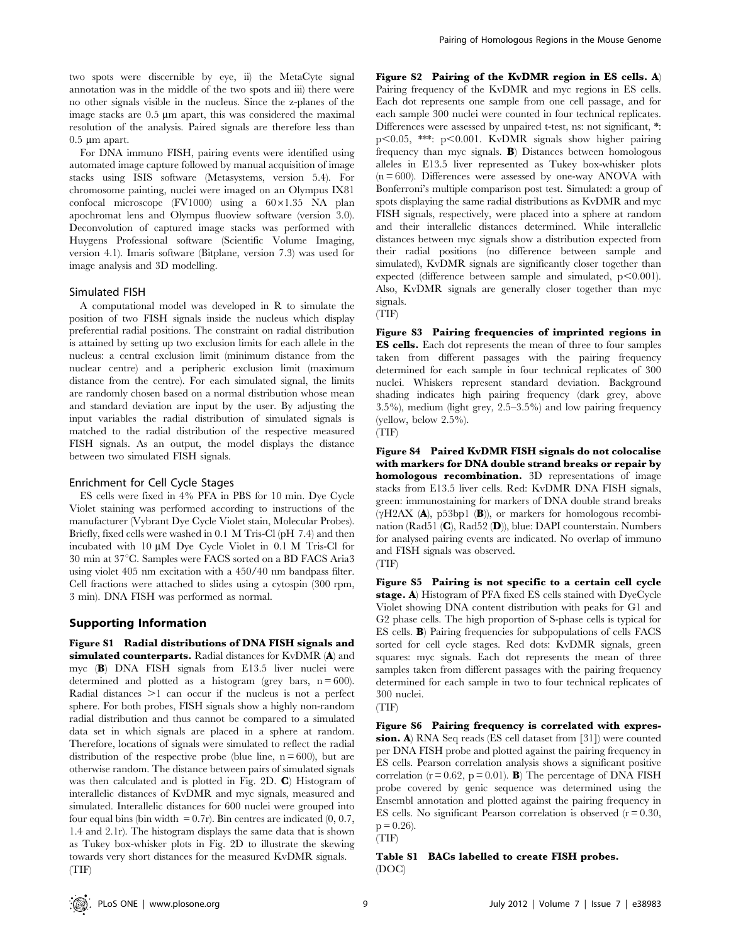two spots were discernible by eye, ii) the MetaCyte signal annotation was in the middle of the two spots and iii) there were no other signals visible in the nucleus. Since the z-planes of the image stacks are  $0.5 \mu m$  apart, this was considered the maximal resolution of the analysis. Paired signals are therefore less than  $0.5$  um apart.

For DNA immuno FISH, pairing events were identified using automated image capture followed by manual acquisition of image stacks using ISIS software (Metasystems, version 5.4). For chromosome painting, nuclei were imaged on an Olympus IX81 confocal microscope (FV1000) using a  $60 \times 1.35$  NA plan apochromat lens and Olympus fluoview software (version 3.0). Deconvolution of captured image stacks was performed with Huygens Professional software (Scientific Volume Imaging, version 4.1). Imaris software (Bitplane, version 7.3) was used for image analysis and 3D modelling.

#### Simulated FISH

A computational model was developed in R to simulate the position of two FISH signals inside the nucleus which display preferential radial positions. The constraint on radial distribution is attained by setting up two exclusion limits for each allele in the nucleus: a central exclusion limit (minimum distance from the nuclear centre) and a peripheric exclusion limit (maximum distance from the centre). For each simulated signal, the limits are randomly chosen based on a normal distribution whose mean and standard deviation are input by the user. By adjusting the input variables the radial distribution of simulated signals is matched to the radial distribution of the respective measured FISH signals. As an output, the model displays the distance between two simulated FISH signals.

#### Enrichment for Cell Cycle Stages

ES cells were fixed in 4% PFA in PBS for 10 min. Dye Cycle Violet staining was performed according to instructions of the manufacturer (Vybrant Dye Cycle Violet stain, Molecular Probes). Briefly, fixed cells were washed in 0.1 M Tris-Cl (pH 7.4) and then incubated with 10  $\mu$ M Dye Cycle Violet in 0.1 M Tris-Cl for  $30 \text{ min at } 37^{\circ}\text{C}$ . Samples were FACS sorted on a BD FACS Aria3 using violet 405 nm excitation with a 450/40 nm bandpass filter. Cell fractions were attached to slides using a cytospin (300 rpm, 3 min). DNA FISH was performed as normal.

#### Supporting Information

Figure S1 Radial distributions of DNA FISH signals and simulated counterparts. Radial distances for KvDMR (A) and myc (B) DNA FISH signals from E13.5 liver nuclei were determined and plotted as a histogram (grey bars,  $n = 600$ ). Radial distances  $>1$  can occur if the nucleus is not a perfect sphere. For both probes, FISH signals show a highly non-random radial distribution and thus cannot be compared to a simulated data set in which signals are placed in a sphere at random. Therefore, locations of signals were simulated to reflect the radial distribution of the respective probe (blue line,  $n = 600$ ), but are otherwise random. The distance between pairs of simulated signals was then calculated and is plotted in Fig. 2D. C) Histogram of interallelic distances of KvDMR and myc signals, measured and simulated. Interallelic distances for 600 nuclei were grouped into four equal bins (bin width  $= 0.7r$ ). Bin centres are indicated (0, 0.7, 1.4 and 2.1r). The histogram displays the same data that is shown as Tukey box-whisker plots in Fig. 2D to illustrate the skewing towards very short distances for the measured KvDMR signals. (TIF)

Figure S2 Pairing of the KvDMR region in ES cells. A) Pairing frequency of the KvDMR and myc regions in ES cells. Each dot represents one sample from one cell passage, and for each sample 300 nuclei were counted in four technical replicates. Differences were assessed by unpaired t-test, ns: not significant, \*:  $p<0.05$ , \*\*\*:  $p<0.001$ . KvDMR signals show higher pairing frequency than myc signals. B) Distances between homologous alleles in E13.5 liver represented as Tukey box-whisker plots  $(n = 600)$ . Differences were assessed by one-way ANOVA with Bonferroni's multiple comparison post test. Simulated: a group of spots displaying the same radial distributions as KvDMR and myc FISH signals, respectively, were placed into a sphere at random and their interallelic distances determined. While interallelic distances between myc signals show a distribution expected from their radial positions (no difference between sample and simulated), KvDMR signals are significantly closer together than expected (difference between sample and simulated,  $p<0.001$ ). Also, KvDMR signals are generally closer together than myc signals.

(TIF)

Figure S3 Pairing frequencies of imprinted regions in ES cells. Each dot represents the mean of three to four samples taken from different passages with the pairing frequency determined for each sample in four technical replicates of 300 nuclei. Whiskers represent standard deviation. Background shading indicates high pairing frequency (dark grey, above 3.5%), medium (light grey, 2.5–3.5%) and low pairing frequency (yellow, below 2.5%).

(TIF)

Figure S4 Paired KvDMR FISH signals do not colocalise with markers for DNA double strand breaks or repair by homologous recombination. 3D representations of image stacks from E13.5 liver cells. Red: KvDMR DNA FISH signals, green: immunostaining for markers of DNA double strand breaks  $(\gamma H2AX \; (A), \; p53bp1 \; (B)),$  or markers for homologous recombination (Rad51 (C), Rad52 (D)), blue: DAPI counterstain. Numbers for analysed pairing events are indicated. No overlap of immuno and FISH signals was observed. (TIF)

Figure S5 Pairing is not specific to a certain cell cycle stage. A) Histogram of PFA fixed ES cells stained with DyeCycle Violet showing DNA content distribution with peaks for G1 and G2 phase cells. The high proportion of S-phase cells is typical for ES cells. B) Pairing frequencies for subpopulations of cells FACS sorted for cell cycle stages. Red dots: KvDMR signals, green squares: myc signals. Each dot represents the mean of three samples taken from different passages with the pairing frequency determined for each sample in two to four technical replicates of 300 nuclei.

(TIF)

Figure S6 Pairing frequency is correlated with expression. A) RNA Seq reads (ES cell dataset from [31]) were counted per DNA FISH probe and plotted against the pairing frequency in ES cells. Pearson correlation analysis shows a significant positive correlation ( $r = 0.62$ ,  $p = 0.01$ ). **B**) The percentage of DNA FISH probe covered by genic sequence was determined using the Ensembl annotation and plotted against the pairing frequency in ES cells. No significant Pearson correlation is observed  $(r = 0.30,$  $p = 0.26$ ).



Table S1 BACs labelled to create FISH probes. (DOC)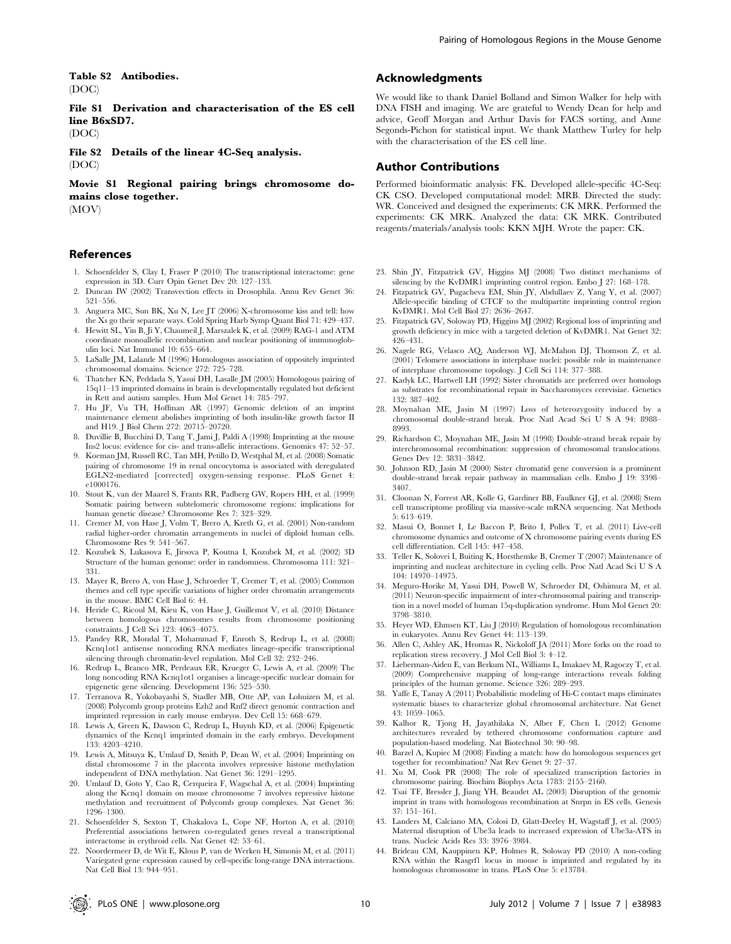Table S2 Antibodies. (DOC)

File S1 Derivation and characterisation of the ES cell line B6xSD7.

(DOC)

File S2 Details of the linear 4C-Seq analysis. (DOC)

Movie S1 Regional pairing brings chromosome domains close together. (MOV)

#### References

- 1. Schoenfelder S, Clay I, Fraser P (2010) The transcriptional interactome: gene expression in 3D. Curr Opin Genet Dev 20: 127–133.
- 2. Duncan IW (2002) Transvection effects in Drosophila. Annu Rev Genet 36: 521–556.
- 3. Anguera MC, Sun BK, Xu N, Lee JT (2006) X-chromosome kiss and tell: how the Xs go their separate ways. Cold Spring Harb Symp Quant Biol 71: 429–437.
- 4. Hewitt SL, Yin B, Ji Y, Chaumeil J, Marszalek K, et al. (2009) RAG-1 and ATM coordinate monoallelic recombination and nuclear positioning of immunoglobulin loci. Nat Immunol 10: 655–664.
- 5. LaSalle JM, Lalande M (1996) Homologous association of oppositely imprinted chromosomal domains. Science 272: 725–728.
- 6. Thatcher KN, Peddada S, Yasui DH, Lasalle JM (2005) Homologous pairing of 15q11–13 imprinted domains in brain is developmentally regulated but deficient in Rett and autism samples. Hum Mol Genet 14: 785–797.
- 7. Hu JF, Vu TH, Hoffman AR (1997) Genomic deletion of an imprint maintenance element abolishes imprinting of both insulin-like growth factor II and H19. J Biol Chem 272: 20715–20720.
- 8. Duvillie B, Bucchini D, Tang T, Jami J, Paldi A (1998) Imprinting at the mouse Ins2 locus: evidence for cis- and trans-allelic interactions. Genomics 47: 52–57.
- 9. Koeman JM, Russell RC, Tan MH, Petillo D, Westphal M, et al. (2008) Somatic pairing of chromosome 19 in renal oncocytoma is associated with deregulated EGLN2-mediated [corrected] oxygen-sensing response. PLoS Genet 4: e1000176.
- 10. Stout K, van der Maarel S, Frants RR, Padberg GW, Ropers HH, et al. (1999) Somatic pairing between subtelomeric chromosome regions: implications for human genetic disease? Chromosome Res 7: 323–329.
- 11. Cremer M, von Hase J, Volm T, Brero A, Kreth G, et al. (2001) Non-random radial higher-order chromatin arrangements in nuclei of diploid human cells. Chromosome Res 9: 541–567.
- 12. Kozubek S, Lukasova E, Jirsova P, Koutna I, Kozubek M, et al. (2002) 3D Structure of the human genome: order in randomness. Chromosoma 111: 321– 331.
- 13. Mayer R, Brero A, von Hase J, Schroeder T, Cremer T, et al. (2005) Common themes and cell type specific variations of higher order chromatin arrangements in the mouse. BMC Cell Biol 6: 44.
- 14. Heride C, Ricoul M, Kieu K, von Hase J, Guillemot V, et al. (2010) Distance between homologous chromosomes results from chromosome positioning constraints. J Cell Sci 123: 4063–4075.
- 15. Pandey RR, Mondal T, Mohammad F, Enroth S, Redrup L, et al. (2008) Kcnq1ot1 antisense noncoding RNA mediates lineage-specific transcriptional silencing through chromatin-level regulation. Mol Cell 32: 232–246.
- 16. Redrup L, Branco MR, Perdeaux ER, Krueger C, Lewis A, et al. (2009) The long noncoding RNA Kcnq1ot1 organises a lineage-specific nuclear domain for epigenetic gene silencing. Development 136: 525–530.
- 17. Terranova R, Yokobayashi S, Stadler MB, Otte AP, van Lohuizen M, et al. (2008) Polycomb group proteins Ezh2 and Rnf2 direct genomic contraction and imprinted repression in early mouse embryos. Dev Cell 15: 668–679.
- 18. Lewis A, Green K, Dawson C, Redrup L, Huynh KD, et al. (2006) Epigenetic dynamics of the Kcnq1 imprinted domain in the early embryo. Development 133: 4203–4210.
- 19. Lewis A, Mitsuya K, Umlauf D, Smith P, Dean W, et al. (2004) Imprinting on distal chromosome 7 in the placenta involves repressive histone methylation independent of DNA methylation. Nat Genet 36: 1291–1295.
- 20. Umlauf D, Goto Y, Cao R, Cerqueira F, Wagschal A, et al. (2004) Imprinting along the Kcnq1 domain on mouse chromosome 7 involves repressive histone methylation and recruitment of Polycomb group complexes. Nat Genet 36: 1296–1300.
- 21. Schoenfelder S, Sexton T, Chakalova L, Cope NF, Horton A, et al. (2010) Preferential associations between co-regulated genes reveal a transcriptional interactome in erythroid cells. Nat Genet 42: 53–61.
- 22. Noordermeer D, de Wit E, Klous P, van de Werken H, Simonis M, et al. (2011) Variegated gene expression caused by cell-specific long-range DNA interactions. Nat Cell Biol 13: 944–951.

#### Acknowledgments

We would like to thank Daniel Bolland and Simon Walker for help with DNA FISH and imaging. We are grateful to Wendy Dean for help and advice, Geoff Morgan and Arthur Davis for FACS sorting, and Anne Segonds-Pichon for statistical input. We thank Matthew Turley for help with the characterisation of the ES cell line.

#### Author Contributions

Performed bioinformatic analysis: FK. Developed allele-specific 4C-Seq: CK CSO. Developed computational model: MRB. Directed the study: WR. Conceived and designed the experiments: CK MRK. Performed the experiments: CK MRK. Analyzed the data: CK MRK. Contributed reagents/materials/analysis tools: KKN MJH. Wrote the paper: CK.

- 23. Shin JY, Fitzpatrick GV, Higgins MJ (2008) Two distinct mechanisms of silencing by the KvDMR1 imprinting control region. Embo J 27: 168–178.
- 24. Fitzpatrick GV, Pugacheva EM, Shin JY, Abdullaev Z, Yang Y, et al. (2007) Allele-specific binding of CTCF to the multipartite imprinting control region KvDMR1. Mol Cell Biol 27: 2636–2647.
- 25. Fitzpatrick GV, Soloway PD, Higgins MJ (2002) Regional loss of imprinting and growth deficiency in mice with a targeted deletion of KvDMR1. Nat Genet 32: 426–431.
- 26. Nagele RG, Velasco AQ, Anderson WJ, McMahon DJ, Thomson Z, et al. (2001) Telomere associations in interphase nuclei: possible role in maintenance of interphase chromosome topology. J Cell Sci 114: 377–388.
- 27. Kadyk LC, Hartwell LH (1992) Sister chromatids are preferred over homologs as substrates for recombinational repair in Saccharomyces cerevisiae. Genetics 132: 387–402.
- 28. Moynahan ME, Jasin M (1997) Loss of heterozygosity induced by a chromosomal double-strand break. Proc Natl Acad Sci U S A 94: 8988– 8993.
- 29. Richardson C, Moynahan ME, Jasin M (1998) Double-strand break repair by interchromosomal recombination: suppression of chromosomal translocations. Genes Dev 12: 3831–3842.
- 30. Johnson RD, Jasin M (2000) Sister chromatid gene conversion is a prominent double-strand break repair pathway in mammalian cells. Embo J 19: 3398– 3407.
- 31. Cloonan N, Forrest AR, Kolle G, Gardiner BB, Faulkner GJ, et al. (2008) Stem cell transcriptome profiling via massive-scale mRNA sequencing. Nat Methods 5: 613–619.
- 32. Masui O, Bonnet I, Le Baccon P, Brito I, Pollex T, et al. (2011) Live-cell chromosome dynamics and outcome of X chromosome pairing events during ES cell differentiation. Cell 145: 447–458.
- 33. Teller K, Solovei I, Buiting K, Horsthemke B, Cremer T (2007) Maintenance of imprinting and nuclear architecture in cycling cells. Proc Natl Acad Sci U S A 104: 14970–14975.
- 34. Meguro-Horike M, Yasui DH, Powell W, Schroeder DI, Oshimura M, et al. (2011) Neuron-specific impairment of inter-chromosomal pairing and transcription in a novel model of human 15q-duplication syndrome. Hum Mol Genet 20: 3798–3810.
- 35. Heyer WD, Ehmsen KT, Liu J (2010) Regulation of homologous recombination in eukaryotes. Annu Rev Genet 44: 113–139.
- 36. Allen C, Ashley AK, Hromas R, Nickoloff JA (2011) More forks on the road to replication stress recovery. J Mol Cell Biol 3: 4–12.
- 37. Lieberman-Aiden E, van Berkum NL, Williams L, Imakaev M, Ragoczy T, et al. (2009) Comprehensive mapping of long-range interactions reveals folding principles of the human genome. Science 326: 289–293.
- 38. Yaffe E, Tanay A (2011) Probabilistic modeling of Hi-C contact maps eliminates systematic biases to characterize global chromosomal architecture. Nat Genet 43: 1059–1065.
- 39. Kalhor R, Tjong H, Jayathilaka N, Alber F, Chen L (2012) Genome architectures revealed by tethered chromosome conformation capture and population-based modeling. Nat Biotechnol 30: 90–98.
- 40. Barzel A, Kupiec M (2008) Finding a match: how do homologous sequences get together for recombination? Nat Rev Genet 9: 27–37.
- 41. Xu M, Cook PR (2008) The role of specialized transcription factories in chromosome pairing. Biochim Biophys Acta 1783: 2155–2160.
- 42. Tsai TF, Bressler J, Jiang YH, Beaudet AL (2003) Disruption of the genomic imprint in trans with homologous recombination at Snrpn in ES cells. Genesis 37: 151–161.
- 43. Landers M, Calciano MA, Colosi D, Glatt-Deeley H, Wagstaff J, et al. (2005) Maternal disruption of Ube3a leads to increased expression of Ube3a-ATS in trans. Nucleic Acids Res 33: 3976–3984.
- 44. Brideau CM, Kauppinen KP, Holmes R, Soloway PD (2010) A non-coding RNA within the Rasgrf1 locus in mouse is imprinted and regulated by its homologous chromosome in trans. PLoS One 5: e13784.